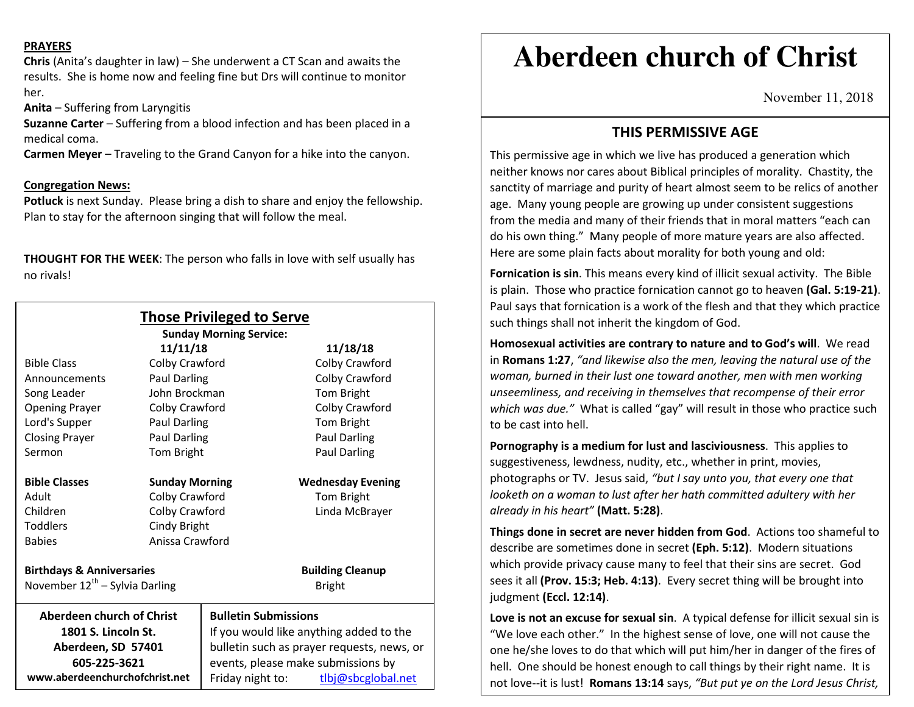### **PRAYERS**

**Chris** (Anita's daughter in law) – She underwent a CT Scan and awaits the results. She is home now and feeling fine but Drs will continue to monitor her.

**Anita** – Suffering from Laryngitis

**Suzanne Carter** – Suffering from a blood infection and has been placed in a medical coma.

**Carmen Meyer** – Traveling to the Grand Canyon for a hike into the canyon.

## **Congregation News:**

 **Potluck** is next Sunday. Please bring a dish to share and enjoy the fellowship. Plan to stay for the afternoon singing that will follow the meal.

**THOUGHT FOR THE WEEK**: The person who falls in love with self usually has no rivals!

| <b>Those Privileged to Serve</b><br><b>Sunday Morning Service:</b> |                       |                                            |                          |
|--------------------------------------------------------------------|-----------------------|--------------------------------------------|--------------------------|
| 11/11/18                                                           |                       |                                            | 11/18/18                 |
| <b>Bible Class</b>                                                 | Colby Crawford        |                                            | Colby Crawford           |
| Announcements                                                      | <b>Paul Darling</b>   |                                            | Colby Crawford           |
| Song Leader                                                        | John Brockman         |                                            | Tom Bright               |
| <b>Opening Prayer</b>                                              | Colby Crawford        |                                            | Colby Crawford           |
| Lord's Supper                                                      | <b>Paul Darling</b>   |                                            | Tom Bright               |
| <b>Closing Prayer</b>                                              | Paul Darling          |                                            | Paul Darling             |
| Sermon                                                             | Tom Bright            |                                            | Paul Darling             |
| <b>Bible Classes</b>                                               | <b>Sunday Morning</b> |                                            | <b>Wednesday Evening</b> |
| Adult                                                              | Colby Crawford        |                                            | Tom Bright               |
| Children                                                           | Colby Crawford        |                                            | Linda McBrayer           |
| <b>Toddlers</b>                                                    | Cindy Bright          |                                            |                          |
| <b>Babies</b>                                                      | Anissa Crawford       |                                            |                          |
| <b>Birthdays &amp; Anniversaries</b>                               |                       |                                            | <b>Building Cleanup</b>  |
| November $12^{th}$ – Sylvia Darling                                |                       |                                            | <b>Bright</b>            |
| <b>Aberdeen church of Christ</b>                                   |                       | <b>Bulletin Submissions</b>                |                          |
| 1801 S. Lincoln St.                                                |                       | If you would like anything added to the    |                          |
| Aberdeen, SD 57401                                                 |                       | bulletin such as prayer requests, news, or |                          |
| 605-225-3621                                                       |                       | events, please make submissions by         |                          |
| www.aberdeenchurchofchrist.net                                     |                       | Friday night to:                           | tlbj@sbcglobal.net       |

# **Aberdeen church of Christ**

November 11, 2018

# **THIS PERMISSIVE AGE**

This permissive age in which we live has produced a generation which neither knows nor cares about Biblical principles of morality. Chastity, the sanctity of marriage and purity of heart almost seem to be relics of another age. Many young people are growing up under consistent suggestions from the media and many of their friends that in moral matters "each can do his own thing." Many people of more mature years are also affected. Here are some plain facts about morality for both young and old:

**Fornication is sin**. This means every kind of illicit sexual activity. The Bible is plain. Those who practice fornication cannot go to heaven **(Gal. 5:19-21)**. Paul says that fornication is a work of the flesh and that they which practice such things shall not inherit the kingdom of God.

**Homosexual activities are contrary to nature and to God's will**. We read in **Romans 1:27**, *"and likewise also the men, leaving the natural use of the woman, burned in their lust one toward another, men with men working unseemliness, and receiving in themselves that recompense of their error which was due."* What is called "gay" will result in those who practice such to be cast into hell.

**Pornography is a medium for lust and lasciviousness**. This applies to suggestiveness, lewdness, nudity, etc., whether in print, movies, photographs or TV. Jesus said, *"but I say unto you, that every one that looketh on a woman to lust after her hath committed adultery with her already in his heart"* **(Matt. 5:28)**.

**Things done in secret are never hidden from God**. Actions too shameful to describe are sometimes done in secret **(Eph. 5:12)**. Modern situations which provide privacy cause many to feel that their sins are secret. God sees it all **(Prov. 15:3; Heb. 4:13)**. Every secret thing will be brought into judgment **(Eccl. 12:14)**.

**Love is not an excuse for sexual sin**. A typical defense for illicit sexual sin is "We love each other." In the highest sense of love, one will not cause the one he/she loves to do that which will put him/her in danger of the fires of hell. One should be honest enough to call things by their right name. It is not love--it is lust! **Romans 13:14** says, *"But put ye on the Lord Jesus Christ,*